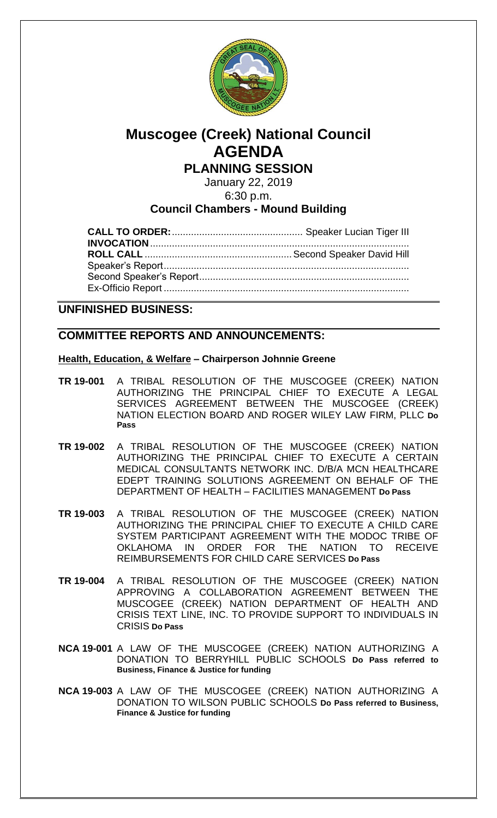

# **Muscogee (Creek) National Council AGENDA**

**PLANNING SESSION**

January 22, 2019

6:30 p.m.

## **Council Chambers - Mound Building**

### **UNFINISHED BUSINESS:**

## **COMMITTEE REPORTS AND ANNOUNCEMENTS:**

#### **Health, Education, & Welfare – Chairperson Johnnie Greene**

- **TR 19-001** A TRIBAL RESOLUTION OF THE MUSCOGEE (CREEK) NATION AUTHORIZING THE PRINCIPAL CHIEF TO EXECUTE A LEGAL SERVICES AGREEMENT BETWEEN THE MUSCOGEE (CREEK) NATION ELECTION BOARD AND ROGER WILEY LAW FIRM, PLLC **Do Pass**
- **TR 19-002** A TRIBAL RESOLUTION OF THE MUSCOGEE (CREEK) NATION AUTHORIZING THE PRINCIPAL CHIEF TO EXECUTE A CERTAIN MEDICAL CONSULTANTS NETWORK INC. D/B/A MCN HEALTHCARE EDEPT TRAINING SOLUTIONS AGREEMENT ON BEHALF OF THE DEPARTMENT OF HEALTH – FACILITIES MANAGEMENT **Do Pass**
- **TR 19-003** A TRIBAL RESOLUTION OF THE MUSCOGEE (CREEK) NATION AUTHORIZING THE PRINCIPAL CHIEF TO EXECUTE A CHILD CARE SYSTEM PARTICIPANT AGREEMENT WITH THE MODOC TRIBE OF OKLAHOMA IN ORDER FOR THE NATION TO RECEIVE REIMBURSEMENTS FOR CHILD CARE SERVICES **Do Pass**
- **TR 19-004** A TRIBAL RESOLUTION OF THE MUSCOGEE (CREEK) NATION APPROVING A COLLABORATION AGREEMENT BETWEEN THE MUSCOGEE (CREEK) NATION DEPARTMENT OF HEALTH AND CRISIS TEXT LINE, INC. TO PROVIDE SUPPORT TO INDIVIDUALS IN CRISIS **Do Pass**
- **NCA 19-001** A LAW OF THE MUSCOGEE (CREEK) NATION AUTHORIZING A DONATION TO BERRYHILL PUBLIC SCHOOLS **Do Pass referred to Business, Finance & Justice for funding**
- **NCA 19-003** A LAW OF THE MUSCOGEE (CREEK) NATION AUTHORIZING A DONATION TO WILSON PUBLIC SCHOOLS **Do Pass referred to Business, Finance & Justice for funding**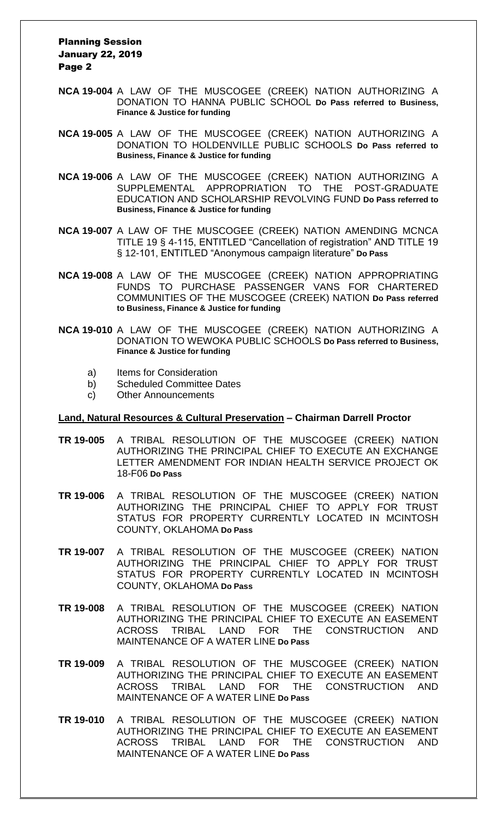#### Planning Session January 22, 2019 Page 2

- **NCA 19-004** A LAW OF THE MUSCOGEE (CREEK) NATION AUTHORIZING A DONATION TO HANNA PUBLIC SCHOOL **Do Pass referred to Business, Finance & Justice for funding**
- **NCA 19-005** A LAW OF THE MUSCOGEE (CREEK) NATION AUTHORIZING A DONATION TO HOLDENVILLE PUBLIC SCHOOLS **Do Pass referred to Business, Finance & Justice for funding**
- **NCA 19-006** A LAW OF THE MUSCOGEE (CREEK) NATION AUTHORIZING A SUPPLEMENTAL APPROPRIATION TO THE POST-GRADUATE EDUCATION AND SCHOLARSHIP REVOLVING FUND **Do Pass referred to Business, Finance & Justice for funding**
- **NCA 19-007** A LAW OF THE MUSCOGEE (CREEK) NATION AMENDING MCNCA TITLE 19 § 4-115, ENTITLED "Cancellation of registration" AND TITLE 19 § 12-101, ENTITLED "Anonymous campaign literature" **Do Pass**
- **NCA 19-008** A LAW OF THE MUSCOGEE (CREEK) NATION APPROPRIATING FUNDS TO PURCHASE PASSENGER VANS FOR CHARTERED COMMUNITIES OF THE MUSCOGEE (CREEK) NATION **Do Pass referred to Business, Finance & Justice for funding**
- **NCA 19-010** A LAW OF THE MUSCOGEE (CREEK) NATION AUTHORIZING A DONATION TO WEWOKA PUBLIC SCHOOLS **Do Pass referred to Business, Finance & Justice for funding**
	- a) Items for Consideration
	- b) Scheduled Committee Dates
	- c) Other Announcements

#### **Land, Natural Resources & Cultural Preservation – Chairman Darrell Proctor**

- **TR 19-005** A TRIBAL RESOLUTION OF THE MUSCOGEE (CREEK) NATION AUTHORIZING THE PRINCIPAL CHIEF TO EXECUTE AN EXCHANGE LETTER AMENDMENT FOR INDIAN HEALTH SERVICE PROJECT OK 18-F06 **Do Pass**
- **TR 19-006** A TRIBAL RESOLUTION OF THE MUSCOGEE (CREEK) NATION AUTHORIZING THE PRINCIPAL CHIEF TO APPLY FOR TRUST STATUS FOR PROPERTY CURRENTLY LOCATED IN MCINTOSH COUNTY, OKLAHOMA **Do Pass**
- **TR 19-007** A TRIBAL RESOLUTION OF THE MUSCOGEE (CREEK) NATION AUTHORIZING THE PRINCIPAL CHIEF TO APPLY FOR TRUST STATUS FOR PROPERTY CURRENTLY LOCATED IN MCINTOSH COUNTY, OKLAHOMA **Do Pass**
- **TR 19-008** A TRIBAL RESOLUTION OF THE MUSCOGEE (CREEK) NATION AUTHORIZING THE PRINCIPAL CHIEF TO EXECUTE AN EASEMENT ACROSS TRIBAL LAND FOR THE CONSTRUCTION AND MAINTENANCE OF A WATER LINE **Do Pass**
- **TR 19-009** A TRIBAL RESOLUTION OF THE MUSCOGEE (CREEK) NATION AUTHORIZING THE PRINCIPAL CHIEF TO EXECUTE AN EASEMENT ACROSS TRIBAL LAND FOR THE CONSTRUCTION AND MAINTENANCE OF A WATER LINE **Do Pass**
- **TR 19-010** A TRIBAL RESOLUTION OF THE MUSCOGEE (CREEK) NATION AUTHORIZING THE PRINCIPAL CHIEF TO EXECUTE AN EASEMENT<br>ACROSS TRIBAL LAND FOR THE CONSTRUCTION AND ACROSS TRIBAL LAND FOR THE CONSTRUCTION AND MAINTENANCE OF A WATER LINE **Do Pass**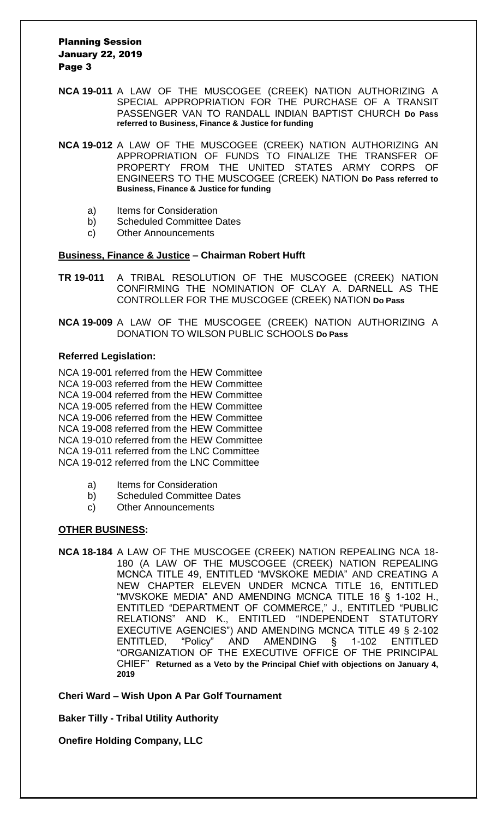#### Planning Session January 22, 2019 Page 3

- **NCA 19-011** A LAW OF THE MUSCOGEE (CREEK) NATION AUTHORIZING A SPECIAL APPROPRIATION FOR THE PURCHASE OF A TRANSIT PASSENGER VAN TO RANDALL INDIAN BAPTIST CHURCH **Do Pass referred to Business, Finance & Justice for funding**
- **NCA 19-012** A LAW OF THE MUSCOGEE (CREEK) NATION AUTHORIZING AN APPROPRIATION OF FUNDS TO FINALIZE THE TRANSFER OF PROPERTY FROM THE UNITED STATES ARMY CORPS OF ENGINEERS TO THE MUSCOGEE (CREEK) NATION **Do Pass referred to Business, Finance & Justice for funding**
	- a) Items for Consideration
	- b) Scheduled Committee Dates
	- c) Other Announcements

#### **Business, Finance & Justice – Chairman Robert Hufft**

- **TR 19-011** A TRIBAL RESOLUTION OF THE MUSCOGEE (CREEK) NATION CONFIRMING THE NOMINATION OF CLAY A. DARNELL AS THE CONTROLLER FOR THE MUSCOGEE (CREEK) NATION **Do Pass**
- **NCA 19-009** A LAW OF THE MUSCOGEE (CREEK) NATION AUTHORIZING A DONATION TO WILSON PUBLIC SCHOOLS **Do Pass**

#### **Referred Legislation:**

NCA 19-001 referred from the HEW Committee NCA 19-003 referred from the HEW Committee NCA 19-004 referred from the HEW Committee NCA 19-005 referred from the HEW Committee NCA 19-006 referred from the HEW Committee NCA 19-008 referred from the HEW Committee NCA 19-010 referred from the HEW Committee NCA 19-011 referred from the LNC Committee NCA 19-012 referred from the LNC Committee

- a) Items for Consideration
- b) Scheduled Committee Dates
- c) Other Announcements

#### **OTHER BUSINESS:**

**NCA 18-184** A LAW OF THE MUSCOGEE (CREEK) NATION REPEALING NCA 18- 180 (A LAW OF THE MUSCOGEE (CREEK) NATION REPEALING MCNCA TITLE 49, ENTITLED "MVSKOKE MEDIA" AND CREATING A NEW CHAPTER ELEVEN UNDER MCNCA TITLE 16, ENTITLED "MVSKOKE MEDIA" AND AMENDING MCNCA TITLE 16 § 1-102 H., ENTITLED "DEPARTMENT OF COMMERCE," J., ENTITLED "PUBLIC RELATIONS" AND K., ENTITLED "INDEPENDENT STATUTORY EXECUTIVE AGENCIES") AND AMENDING MCNCA TITLE 49 § 2-102 ENTITLED, "Policy" AND AMENDING § 1-102 ENTITLED "ORGANIZATION OF THE EXECUTIVE OFFICE OF THE PRINCIPAL CHIEF" **Returned as a Veto by the Principal Chief with objections on January 4, 2019**

**Cheri Ward – Wish Upon A Par Golf Tournament**

**Baker Tilly - Tribal Utility Authority**

**Onefire Holding Company, LLC**